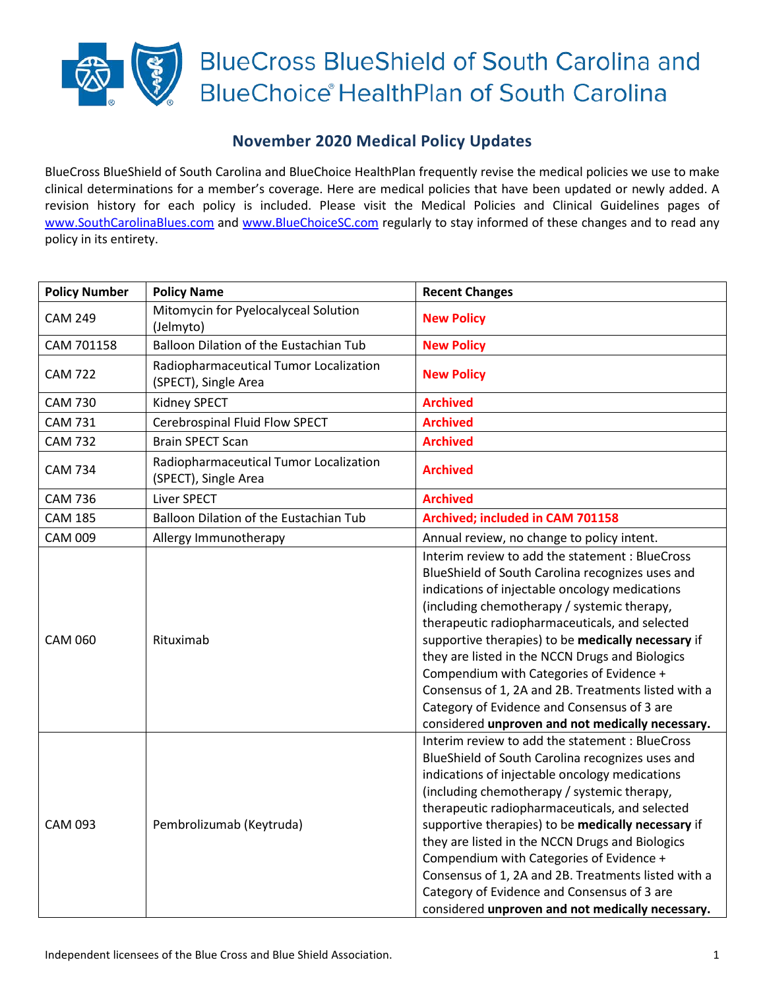

## **November 2020 Medical Policy Updates**

BlueCross BlueShield of South Carolina and BlueChoice HealthPlan frequently revise the medical policies we use to make clinical determinations for a member's coverage. Here are medical policies that have been updated or newly added. A revision history for each policy is included. Please visit the Medical Policies and Clinical Guidelines pages of [www.SouthCarolinaBlues.com](http://www.southcarolinablues.com/) and [www.BlueChoiceSC.com](http://www.bluechoicesc.com/) regularly to stay informed of these changes and to read any policy in its entirety.

| <b>Policy Number</b> | <b>Policy Name</b>                                             | <b>Recent Changes</b>                                                                                                                                                                                                                                                                                                                                                                                                                                                                                                                                                 |
|----------------------|----------------------------------------------------------------|-----------------------------------------------------------------------------------------------------------------------------------------------------------------------------------------------------------------------------------------------------------------------------------------------------------------------------------------------------------------------------------------------------------------------------------------------------------------------------------------------------------------------------------------------------------------------|
| <b>CAM 249</b>       | Mitomycin for Pyelocalyceal Solution<br>(Jelmyto)              | <b>New Policy</b>                                                                                                                                                                                                                                                                                                                                                                                                                                                                                                                                                     |
| CAM 701158           | Balloon Dilation of the Eustachian Tub                         | <b>New Policy</b>                                                                                                                                                                                                                                                                                                                                                                                                                                                                                                                                                     |
| <b>CAM 722</b>       | Radiopharmaceutical Tumor Localization<br>(SPECT), Single Area | <b>New Policy</b>                                                                                                                                                                                                                                                                                                                                                                                                                                                                                                                                                     |
| <b>CAM 730</b>       | Kidney SPECT                                                   | <b>Archived</b>                                                                                                                                                                                                                                                                                                                                                                                                                                                                                                                                                       |
| <b>CAM 731</b>       | Cerebrospinal Fluid Flow SPECT                                 | <b>Archived</b>                                                                                                                                                                                                                                                                                                                                                                                                                                                                                                                                                       |
| <b>CAM 732</b>       | <b>Brain SPECT Scan</b>                                        | <b>Archived</b>                                                                                                                                                                                                                                                                                                                                                                                                                                                                                                                                                       |
| <b>CAM 734</b>       | Radiopharmaceutical Tumor Localization<br>(SPECT), Single Area | <b>Archived</b>                                                                                                                                                                                                                                                                                                                                                                                                                                                                                                                                                       |
| <b>CAM 736</b>       | Liver SPECT                                                    | <b>Archived</b>                                                                                                                                                                                                                                                                                                                                                                                                                                                                                                                                                       |
| <b>CAM 185</b>       | Balloon Dilation of the Eustachian Tub                         | Archived; included in CAM 701158                                                                                                                                                                                                                                                                                                                                                                                                                                                                                                                                      |
| <b>CAM 009</b>       | Allergy Immunotherapy                                          | Annual review, no change to policy intent.                                                                                                                                                                                                                                                                                                                                                                                                                                                                                                                            |
| <b>CAM 060</b>       | Rituximab                                                      | Interim review to add the statement : BlueCross<br>BlueShield of South Carolina recognizes uses and<br>indications of injectable oncology medications<br>(including chemotherapy / systemic therapy,<br>therapeutic radiopharmaceuticals, and selected<br>supportive therapies) to be medically necessary if<br>they are listed in the NCCN Drugs and Biologics<br>Compendium with Categories of Evidence +<br>Consensus of 1, 2A and 2B. Treatments listed with a<br>Category of Evidence and Consensus of 3 are<br>considered unproven and not medically necessary. |
| <b>CAM 093</b>       | Pembrolizumab (Keytruda)                                       | Interim review to add the statement : BlueCross<br>BlueShield of South Carolina recognizes uses and<br>indications of injectable oncology medications<br>(including chemotherapy / systemic therapy,<br>therapeutic radiopharmaceuticals, and selected<br>supportive therapies) to be medically necessary if<br>they are listed in the NCCN Drugs and Biologics<br>Compendium with Categories of Evidence +<br>Consensus of 1, 2A and 2B. Treatments listed with a<br>Category of Evidence and Consensus of 3 are<br>considered unproven and not medically necessary. |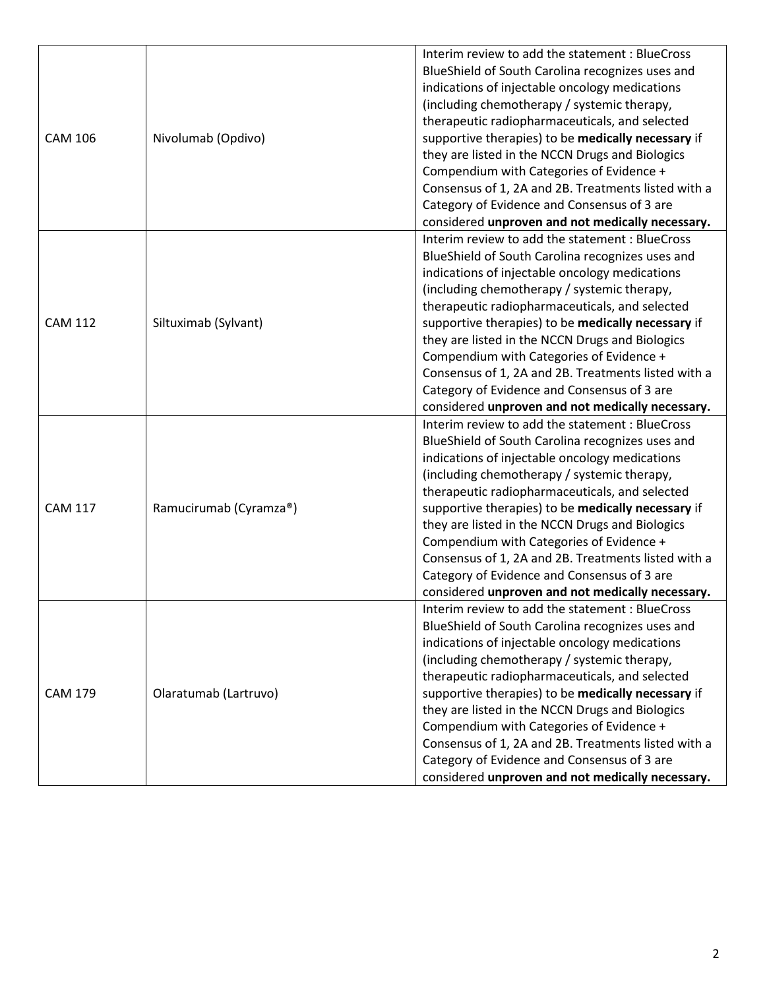|                |                        | Interim review to add the statement: BlueCross      |
|----------------|------------------------|-----------------------------------------------------|
| <b>CAM 106</b> |                        | BlueShield of South Carolina recognizes uses and    |
|                |                        | indications of injectable oncology medications      |
|                |                        | (including chemotherapy / systemic therapy,         |
|                |                        | therapeutic radiopharmaceuticals, and selected      |
|                | Nivolumab (Opdivo)     | supportive therapies) to be medically necessary if  |
|                |                        | they are listed in the NCCN Drugs and Biologics     |
|                |                        | Compendium with Categories of Evidence +            |
|                |                        | Consensus of 1, 2A and 2B. Treatments listed with a |
|                |                        | Category of Evidence and Consensus of 3 are         |
|                |                        | considered unproven and not medically necessary.    |
|                |                        | Interim review to add the statement : BlueCross     |
|                |                        | BlueShield of South Carolina recognizes uses and    |
|                |                        | indications of injectable oncology medications      |
|                |                        | (including chemotherapy / systemic therapy,         |
|                |                        | therapeutic radiopharmaceuticals, and selected      |
| <b>CAM 112</b> | Siltuximab (Sylvant)   | supportive therapies) to be medically necessary if  |
|                |                        | they are listed in the NCCN Drugs and Biologics     |
|                |                        | Compendium with Categories of Evidence +            |
|                |                        | Consensus of 1, 2A and 2B. Treatments listed with a |
|                |                        | Category of Evidence and Consensus of 3 are         |
|                |                        | considered unproven and not medically necessary.    |
|                |                        | Interim review to add the statement : BlueCross     |
|                |                        | BlueShield of South Carolina recognizes uses and    |
|                |                        | indications of injectable oncology medications      |
|                |                        | (including chemotherapy / systemic therapy,         |
|                |                        | therapeutic radiopharmaceuticals, and selected      |
| <b>CAM 117</b> | Ramucirumab (Cyramza®) | supportive therapies) to be medically necessary if  |
|                |                        | they are listed in the NCCN Drugs and Biologics     |
|                |                        |                                                     |
|                |                        | Compendium with Categories of Evidence +            |
|                |                        | Consensus of 1, 2A and 2B. Treatments listed with a |
|                |                        | Category of Evidence and Consensus of 3 are         |
|                |                        | considered unproven and not medically necessary.    |
|                |                        | Interim review to add the statement: BlueCross      |
|                |                        | BlueShield of South Carolina recognizes uses and    |
|                |                        | indications of injectable oncology medications      |
|                |                        | (including chemotherapy / systemic therapy,         |
|                |                        | therapeutic radiopharmaceuticals, and selected      |
| <b>CAM 179</b> | Olaratumab (Lartruvo)  | supportive therapies) to be medically necessary if  |
|                |                        | they are listed in the NCCN Drugs and Biologics     |
|                |                        | Compendium with Categories of Evidence +            |
|                |                        | Consensus of 1, 2A and 2B. Treatments listed with a |
|                |                        | Category of Evidence and Consensus of 3 are         |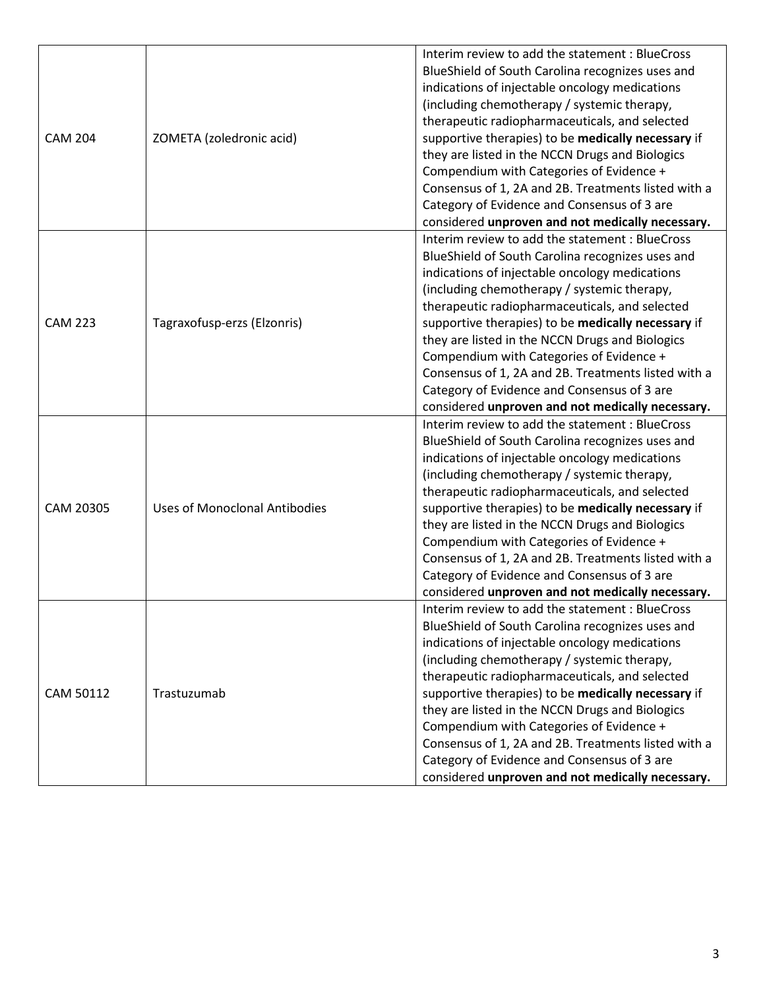| <b>CAM 204</b> | ZOMETA (zoledronic acid)             | Interim review to add the statement : BlueCross<br>BlueShield of South Carolina recognizes uses and<br>indications of injectable oncology medications<br>(including chemotherapy / systemic therapy,<br>therapeutic radiopharmaceuticals, and selected<br>supportive therapies) to be medically necessary if<br>they are listed in the NCCN Drugs and Biologics                                                                                                                                                                                                       |
|----------------|--------------------------------------|-----------------------------------------------------------------------------------------------------------------------------------------------------------------------------------------------------------------------------------------------------------------------------------------------------------------------------------------------------------------------------------------------------------------------------------------------------------------------------------------------------------------------------------------------------------------------|
|                |                                      | Compendium with Categories of Evidence +<br>Consensus of 1, 2A and 2B. Treatments listed with a<br>Category of Evidence and Consensus of 3 are<br>considered unproven and not medically necessary.                                                                                                                                                                                                                                                                                                                                                                    |
| <b>CAM 223</b> | Tagraxofusp-erzs (Elzonris)          | Interim review to add the statement : BlueCross<br>BlueShield of South Carolina recognizes uses and<br>indications of injectable oncology medications<br>(including chemotherapy / systemic therapy,<br>therapeutic radiopharmaceuticals, and selected<br>supportive therapies) to be medically necessary if<br>they are listed in the NCCN Drugs and Biologics<br>Compendium with Categories of Evidence +<br>Consensus of 1, 2A and 2B. Treatments listed with a<br>Category of Evidence and Consensus of 3 are<br>considered unproven and not medically necessary. |
| CAM 20305      | <b>Uses of Monoclonal Antibodies</b> | Interim review to add the statement : BlueCross<br>BlueShield of South Carolina recognizes uses and<br>indications of injectable oncology medications<br>(including chemotherapy / systemic therapy,<br>therapeutic radiopharmaceuticals, and selected<br>supportive therapies) to be medically necessary if<br>they are listed in the NCCN Drugs and Biologics<br>Compendium with Categories of Evidence +<br>Consensus of 1, 2A and 2B. Treatments listed with a<br>Category of Evidence and Consensus of 3 are<br>considered unproven and not medically necessary. |
| CAM 50112      | Trastuzumab                          | Interim review to add the statement: BlueCross<br>BlueShield of South Carolina recognizes uses and<br>indications of injectable oncology medications<br>(including chemotherapy / systemic therapy,<br>therapeutic radiopharmaceuticals, and selected<br>supportive therapies) to be medically necessary if<br>they are listed in the NCCN Drugs and Biologics<br>Compendium with Categories of Evidence +<br>Consensus of 1, 2A and 2B. Treatments listed with a<br>Category of Evidence and Consensus of 3 are<br>considered unproven and not medically necessary.  |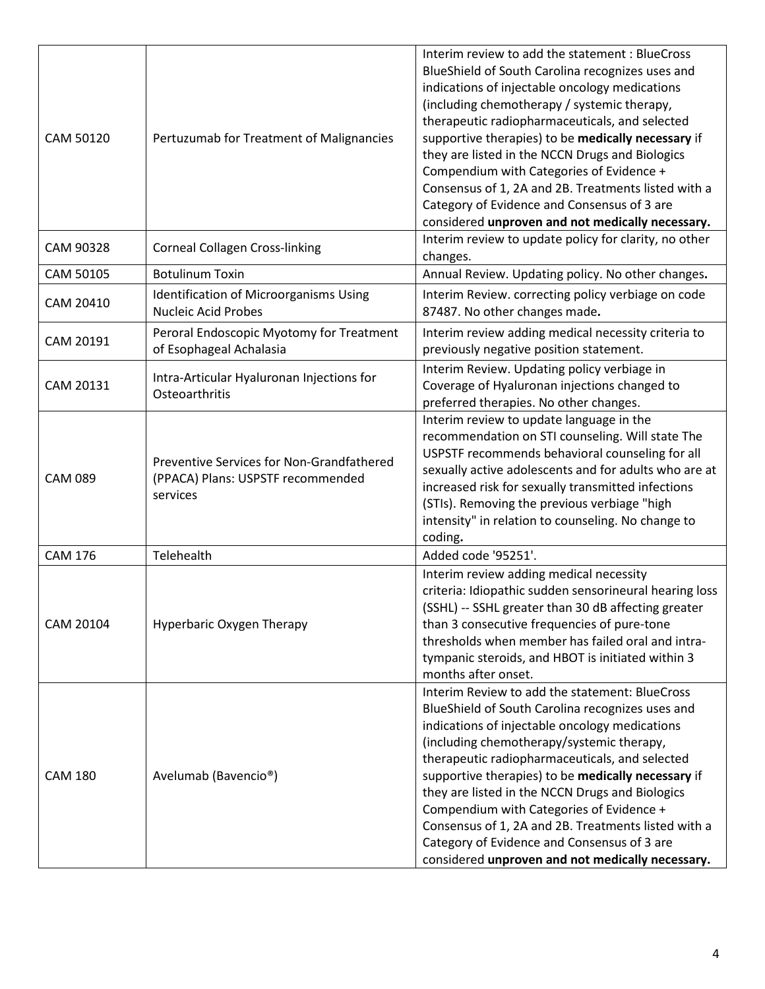| CAM 50120      | Pertuzumab for Treatment of Malignancies                                                   | Interim review to add the statement: BlueCross<br>BlueShield of South Carolina recognizes uses and<br>indications of injectable oncology medications<br>(including chemotherapy / systemic therapy,<br>therapeutic radiopharmaceuticals, and selected<br>supportive therapies) to be medically necessary if<br>they are listed in the NCCN Drugs and Biologics<br>Compendium with Categories of Evidence +<br>Consensus of 1, 2A and 2B. Treatments listed with a<br>Category of Evidence and Consensus of 3 are<br>considered unproven and not medically necessary. |
|----------------|--------------------------------------------------------------------------------------------|----------------------------------------------------------------------------------------------------------------------------------------------------------------------------------------------------------------------------------------------------------------------------------------------------------------------------------------------------------------------------------------------------------------------------------------------------------------------------------------------------------------------------------------------------------------------|
| CAM 90328      | <b>Corneal Collagen Cross-linking</b>                                                      | Interim review to update policy for clarity, no other<br>changes.                                                                                                                                                                                                                                                                                                                                                                                                                                                                                                    |
| CAM 50105      | <b>Botulinum Toxin</b>                                                                     | Annual Review. Updating policy. No other changes.                                                                                                                                                                                                                                                                                                                                                                                                                                                                                                                    |
| CAM 20410      | <b>Identification of Microorganisms Using</b><br><b>Nucleic Acid Probes</b>                | Interim Review. correcting policy verbiage on code<br>87487. No other changes made.                                                                                                                                                                                                                                                                                                                                                                                                                                                                                  |
| CAM 20191      | Peroral Endoscopic Myotomy for Treatment<br>of Esophageal Achalasia                        | Interim review adding medical necessity criteria to<br>previously negative position statement.                                                                                                                                                                                                                                                                                                                                                                                                                                                                       |
| CAM 20131      | Intra-Articular Hyaluronan Injections for<br>Osteoarthritis                                | Interim Review. Updating policy verbiage in<br>Coverage of Hyaluronan injections changed to<br>preferred therapies. No other changes.                                                                                                                                                                                                                                                                                                                                                                                                                                |
| <b>CAM 089</b> | Preventive Services for Non-Grandfathered<br>(PPACA) Plans: USPSTF recommended<br>services | Interim review to update language in the<br>recommendation on STI counseling. Will state The<br>USPSTF recommends behavioral counseling for all<br>sexually active adolescents and for adults who are at<br>increased risk for sexually transmitted infections<br>(STIs). Removing the previous verbiage "high<br>intensity" in relation to counseling. No change to<br>coding.                                                                                                                                                                                      |
| <b>CAM 176</b> | Telehealth                                                                                 | Added code '95251'.                                                                                                                                                                                                                                                                                                                                                                                                                                                                                                                                                  |
| CAM 20104      | Hyperbaric Oxygen Therapy                                                                  | Interim review adding medical necessity<br>criteria: Idiopathic sudden sensorineural hearing loss<br>(SSHL) -- SSHL greater than 30 dB affecting greater<br>than 3 consecutive frequencies of pure-tone<br>thresholds when member has failed oral and intra-<br>tympanic steroids, and HBOT is initiated within 3<br>months after onset.                                                                                                                                                                                                                             |
| <b>CAM 180</b> | Avelumab (Bavencio <sup>®</sup> )                                                          | Interim Review to add the statement: BlueCross<br>BlueShield of South Carolina recognizes uses and<br>indications of injectable oncology medications<br>(including chemotherapy/systemic therapy,<br>therapeutic radiopharmaceuticals, and selected<br>supportive therapies) to be medically necessary if<br>they are listed in the NCCN Drugs and Biologics<br>Compendium with Categories of Evidence +<br>Consensus of 1, 2A and 2B. Treatments listed with a<br>Category of Evidence and Consensus of 3 are<br>considered unproven and not medically necessary.   |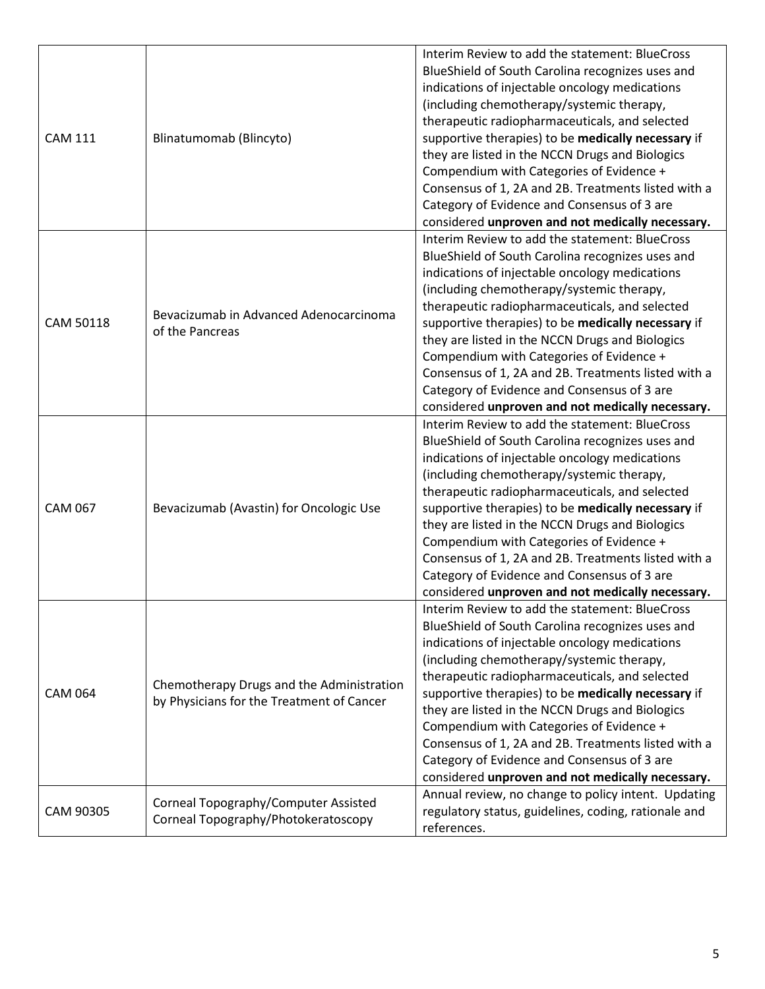| <b>CAM 111</b> | Blinatumomab (Blincyto)                                                                | Interim Review to add the statement: BlueCross<br>BlueShield of South Carolina recognizes uses and<br>indications of injectable oncology medications<br>(including chemotherapy/systemic therapy,<br>therapeutic radiopharmaceuticals, and selected                                                                                                                                                                                                                                                                                                                |
|----------------|----------------------------------------------------------------------------------------|--------------------------------------------------------------------------------------------------------------------------------------------------------------------------------------------------------------------------------------------------------------------------------------------------------------------------------------------------------------------------------------------------------------------------------------------------------------------------------------------------------------------------------------------------------------------|
|                |                                                                                        | supportive therapies) to be medically necessary if<br>they are listed in the NCCN Drugs and Biologics<br>Compendium with Categories of Evidence +<br>Consensus of 1, 2A and 2B. Treatments listed with a<br>Category of Evidence and Consensus of 3 are<br>considered unproven and not medically necessary.                                                                                                                                                                                                                                                        |
| CAM 50118      | Bevacizumab in Advanced Adenocarcinoma<br>of the Pancreas                              | Interim Review to add the statement: BlueCross<br>BlueShield of South Carolina recognizes uses and<br>indications of injectable oncology medications<br>(including chemotherapy/systemic therapy,<br>therapeutic radiopharmaceuticals, and selected<br>supportive therapies) to be medically necessary if<br>they are listed in the NCCN Drugs and Biologics<br>Compendium with Categories of Evidence +<br>Consensus of 1, 2A and 2B. Treatments listed with a<br>Category of Evidence and Consensus of 3 are<br>considered unproven and not medically necessary. |
| <b>CAM 067</b> | Bevacizumab (Avastin) for Oncologic Use                                                | Interim Review to add the statement: BlueCross<br>BlueShield of South Carolina recognizes uses and<br>indications of injectable oncology medications<br>(including chemotherapy/systemic therapy,<br>therapeutic radiopharmaceuticals, and selected<br>supportive therapies) to be medically necessary if<br>they are listed in the NCCN Drugs and Biologics<br>Compendium with Categories of Evidence +<br>Consensus of 1, 2A and 2B. Treatments listed with a<br>Category of Evidence and Consensus of 3 are<br>considered unproven and not medically necessary. |
| <b>CAM 064</b> | Chemotherapy Drugs and the Administration<br>by Physicians for the Treatment of Cancer | Interim Review to add the statement: BlueCross<br>BlueShield of South Carolina recognizes uses and<br>indications of injectable oncology medications<br>(including chemotherapy/systemic therapy,<br>therapeutic radiopharmaceuticals, and selected<br>supportive therapies) to be medically necessary if<br>they are listed in the NCCN Drugs and Biologics<br>Compendium with Categories of Evidence +<br>Consensus of 1, 2A and 2B. Treatments listed with a<br>Category of Evidence and Consensus of 3 are<br>considered unproven and not medically necessary. |
| CAM 90305      | Corneal Topography/Computer Assisted<br>Corneal Topography/Photokeratoscopy            | Annual review, no change to policy intent. Updating<br>regulatory status, guidelines, coding, rationale and<br>references.                                                                                                                                                                                                                                                                                                                                                                                                                                         |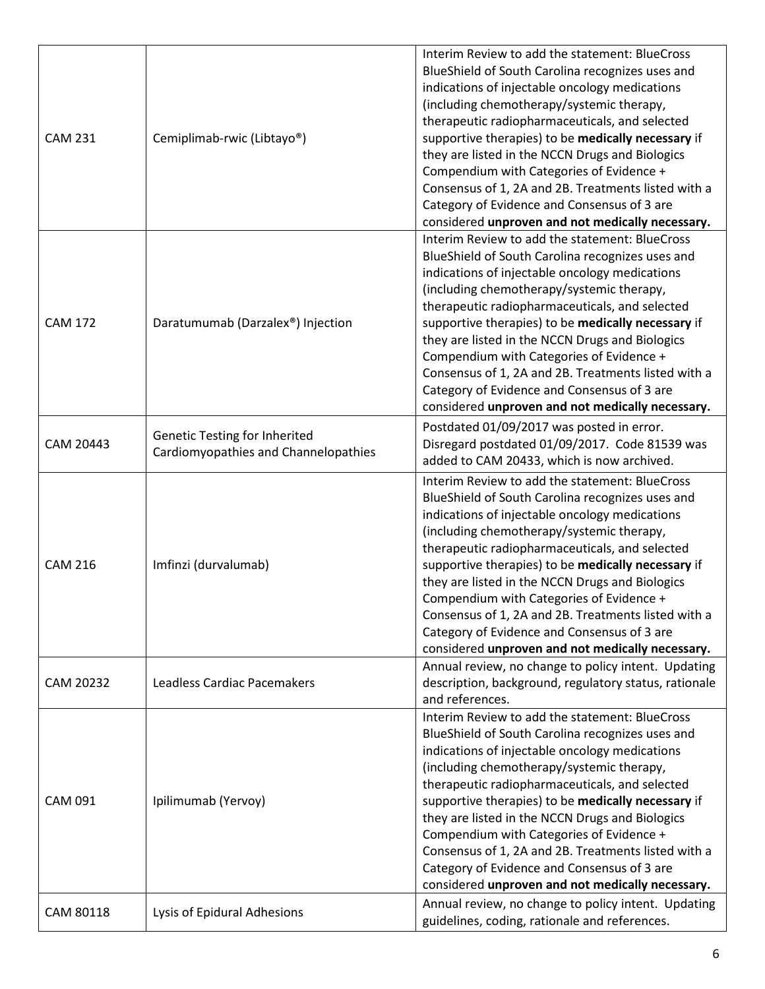| <b>CAM 231</b> | Cemiplimab-rwic (Libtayo <sup>®</sup> )                                      | Interim Review to add the statement: BlueCross<br>BlueShield of South Carolina recognizes uses and<br>indications of injectable oncology medications<br>(including chemotherapy/systemic therapy,<br>therapeutic radiopharmaceuticals, and selected<br>supportive therapies) to be medically necessary if<br>they are listed in the NCCN Drugs and Biologics<br>Compendium with Categories of Evidence +<br>Consensus of 1, 2A and 2B. Treatments listed with a                                                                                                                                                                                                       |
|----------------|------------------------------------------------------------------------------|-----------------------------------------------------------------------------------------------------------------------------------------------------------------------------------------------------------------------------------------------------------------------------------------------------------------------------------------------------------------------------------------------------------------------------------------------------------------------------------------------------------------------------------------------------------------------------------------------------------------------------------------------------------------------|
| <b>CAM 172</b> | Daratumumab (Darzalex®) Injection                                            | Category of Evidence and Consensus of 3 are<br>considered unproven and not medically necessary.<br>Interim Review to add the statement: BlueCross<br>BlueShield of South Carolina recognizes uses and<br>indications of injectable oncology medications<br>(including chemotherapy/systemic therapy,<br>therapeutic radiopharmaceuticals, and selected<br>supportive therapies) to be medically necessary if<br>they are listed in the NCCN Drugs and Biologics<br>Compendium with Categories of Evidence +<br>Consensus of 1, 2A and 2B. Treatments listed with a<br>Category of Evidence and Consensus of 3 are<br>considered unproven and not medically necessary. |
| CAM 20443      | <b>Genetic Testing for Inherited</b><br>Cardiomyopathies and Channelopathies | Postdated 01/09/2017 was posted in error.<br>Disregard postdated 01/09/2017. Code 81539 was<br>added to CAM 20433, which is now archived.                                                                                                                                                                                                                                                                                                                                                                                                                                                                                                                             |
| <b>CAM 216</b> | Imfinzi (durvalumab)                                                         | Interim Review to add the statement: BlueCross<br>BlueShield of South Carolina recognizes uses and<br>indications of injectable oncology medications<br>(including chemotherapy/systemic therapy,<br>therapeutic radiopharmaceuticals, and selected<br>supportive therapies) to be medically necessary if<br>they are listed in the NCCN Drugs and Biologics<br>Compendium with Categories of Evidence +<br>Consensus of 1, 2A and 2B. Treatments listed with a<br>Category of Evidence and Consensus of 3 are<br>considered unproven and not medically necessary.                                                                                                    |
| CAM 20232      | Leadless Cardiac Pacemakers                                                  | Annual review, no change to policy intent. Updating<br>description, background, regulatory status, rationale<br>and references.                                                                                                                                                                                                                                                                                                                                                                                                                                                                                                                                       |
| <b>CAM 091</b> | Ipilimumab (Yervoy)                                                          | Interim Review to add the statement: BlueCross<br>BlueShield of South Carolina recognizes uses and<br>indications of injectable oncology medications<br>(including chemotherapy/systemic therapy,<br>therapeutic radiopharmaceuticals, and selected<br>supportive therapies) to be medically necessary if<br>they are listed in the NCCN Drugs and Biologics<br>Compendium with Categories of Evidence +<br>Consensus of 1, 2A and 2B. Treatments listed with a<br>Category of Evidence and Consensus of 3 are<br>considered unproven and not medically necessary.                                                                                                    |
| CAM 80118      | Lysis of Epidural Adhesions                                                  | Annual review, no change to policy intent. Updating<br>guidelines, coding, rationale and references.                                                                                                                                                                                                                                                                                                                                                                                                                                                                                                                                                                  |